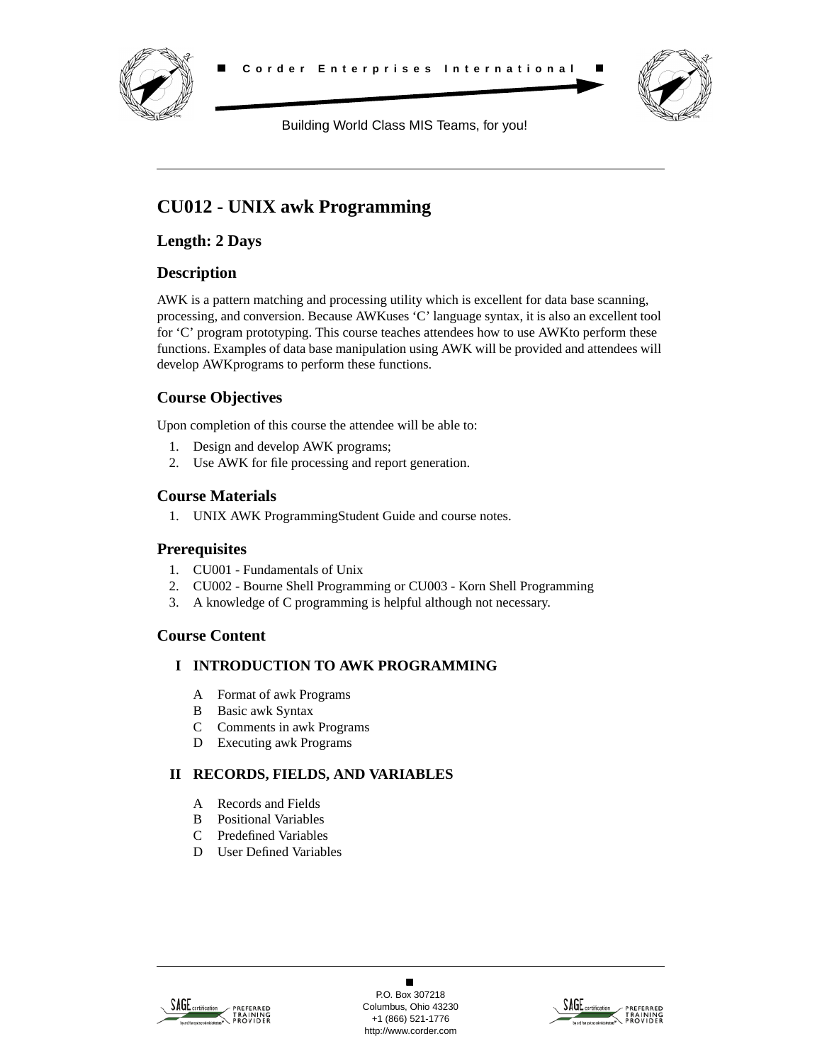



Building World Class MIS Teams, for you!

# **CU012 - UNIX awk Programming**

**Length: 2 Days**

## **Description**

AWK is a pattern matching and processing utility which is excellent for data base scanning, processing, and conversion. Because AWKuses 'C' language syntax, it is also an excellent tool for 'C' program prototyping. This course teaches attendees how to use AWKto perform these functions. Examples of data base manipulation using AWK will be provided and attendees will develop AWKprograms to perform these functions.

# **Course Objectives**

Upon completion of this course the attendee will be able to:

- 1. Design and develop AWK programs;
- 2. Use AWK for file processing and report generation.

#### **Course Materials**

1. UNIX AWK ProgrammingStudent Guide and course notes.

### **Prerequisites**

- 1. CU001 Fundamentals of Unix
- 2. CU002 Bourne Shell Programming or CU003 Korn Shell Programming
- 3. A knowledge of C programming is helpful although not necessary.

### **Course Content**

### **I INTRODUCTION TO AWK PROGRAMMING**

- A Format of awk Programs
- B Basic awk Syntax
- C Comments in awk Programs
- D Executing awk Programs

### **II RECORDS, FIELDS, AND VARIABLES**

- A Records and Fields
- B Positional Variables
- C Predefined Variables
- D User Defined Variables